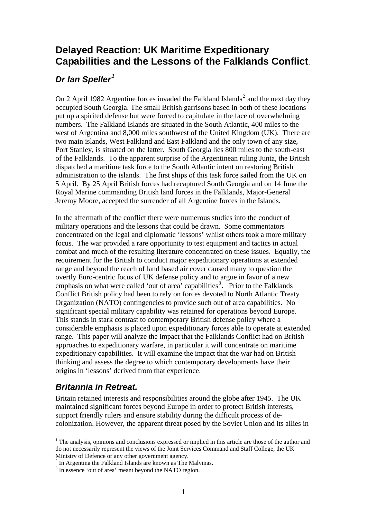# **Delayed Reaction: UK Maritime Expeditionary Capabilities and the Lessons of the Falklands Conflict**.

## *Dr Ian Speller[1](#page-0-0)*

On [2](#page-0-1) April 1982 Argentine forces invaded the Falkland Islands<sup>2</sup> and the next day they occupied South Georgia. The small British garrisons based in both of these locations put up a spirited defense but were forced to capitulate in the face of overwhelming numbers. The Falkland Islands are situated in the South Atlantic, 400 miles to the west of Argentina and 8,000 miles southwest of the United Kingdom (UK). There are two main islands, West Falkland and East Falkland and the only town of any size, Port Stanley, is situated on the latter. South Georgia lies 800 miles to the south-east of the Falklands. To the apparent surprise of the Argentinean ruling Junta, the British dispatched a maritime task force to the South Atlantic intent on restoring British administration to the islands. The first ships of this task force sailed from the UK on 5 April. By 25 April British forces had recaptured South Georgia and on 14 June the Royal Marine commanding British land forces in the Falklands, Major-General Jeremy Moore, accepted the surrender of all Argentine forces in the Islands.

In the aftermath of the conflict there were numerous studies into the conduct of military operations and the lessons that could be drawn. Some commentators concentrated on the legal and diplomatic 'lessons' whilst others took a more military focus. The war provided a rare opportunity to test equipment and tactics in actual combat and much of the resulting literature concentrated on these issues. Equally, the requirement for the British to conduct major expeditionary operations at extended range and beyond the reach of land based air cover caused many to question the overtly Euro-centric focus of UK defense policy and to argue in favor of a new emphasis on what were called 'out of area' capabilities<sup>[3](#page-0-2)</sup>. Prior to the Falklands Conflict British policy had been to rely on forces devoted to North Atlantic Treaty Organization (NATO) contingencies to provide such out of area capabilities. No significant special military capability was retained for operations beyond Europe. This stands in stark contrast to contemporary British defense policy where a considerable emphasis is placed upon expeditionary forces able to operate at extended range. This paper will analyze the impact that the Falklands Conflict had on British approaches to expeditionary warfare, in particular it will concentrate on maritime expeditionary capabilities. It will examine the impact that the war had on British thinking and assess the degree to which contemporary developments have their origins in 'lessons' derived from that experience.

### *Britannia in Retreat.*

<u>.</u>

Britain retained interests and responsibilities around the globe after 1945. The UK maintained significant forces beyond Europe in order to protect British interests, support friendly rulers and ensure stability during the difficult process of decolonization. However, the apparent threat posed by the Soviet Union and its allies in

<span id="page-0-0"></span><sup>&</sup>lt;sup>1</sup> The analysis, opinions and conclusions expressed or implied in this article are those of the author and do not necessarily represent the views of the Joint Services Command and Staff College, the UK Ministry of Defence or any other government agency.

<span id="page-0-1"></span><sup>&</sup>lt;sup>2</sup> In Argentina the Falkland Islands are known as The Malvinas.

<span id="page-0-2"></span><sup>&</sup>lt;sup>3</sup> In essence 'out of area' meant beyond the NATO region.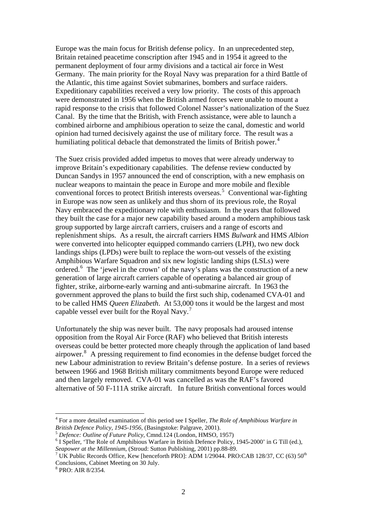Europe was the main focus for British defense policy. In an unprecedented step, Britain retained peacetime conscription after 1945 and in 1954 it agreed to the permanent deployment of four army divisions and a tactical air force in West Germany. The main priority for the Royal Navy was preparation for a third Battle of the Atlantic, this time against Soviet submarines, bombers and surface raiders. Expeditionary capabilities received a very low priority. The costs of this approach were demonstrated in 1956 when the British armed forces were unable to mount a rapid response to the crisis that followed Colonel Nasser's nationalization of the Suez Canal. By the time that the British, with French assistance, were able to launch a combined airborne and amphibious operation to seize the canal, domestic and world opinion had turned decisively against the use of military force. The result was a humiliating political debacle that demonstrated the limits of British power.<sup>[4](#page-1-0)</sup>

The Suez crisis provided added impetus to moves that were already underway to improve Britain's expeditionary capabilities. The defense review conducted by Duncan Sandys in 1957 announced the end of conscription, with a new emphasis on nuclear weapons to maintain the peace in Europe and more mobile and flexible conventional forces to protect British interests overseas.<sup>[5](#page-1-1)</sup> Conventional war-fighting in Europe was now seen as unlikely and thus shorn of its previous role, the Royal Navy embraced the expeditionary role with enthusiasm. In the years that followed they built the case for a major new capability based around a modern amphibious task group supported by large aircraft carriers, cruisers and a range of escorts and replenishment ships. As a result, the aircraft carriers HMS *Bulwark* and HMS *Albion* were converted into helicopter equipped commando carriers (LPH), two new dock landings ships (LPDs) were built to replace the worn-out vessels of the existing Amphibious Warfare Squadron and six new logistic landing ships (LSLs) were ordered.<sup>[6](#page-1-2)</sup> The 'jewel in the crown' of the navy's plans was the construction of a new generation of large aircraft carriers capable of operating a balanced air group of fighter, strike, airborne-early warning and anti-submarine aircraft. In 1963 the government approved the plans to build the first such ship, codenamed CVA-01 and to be called HMS *Queen Elizabeth*. At 53,000 tons it would be the largest and most capable vessel ever built for the Royal Navy. $^7$  $^7$ 

Unfortunately the ship was never built. The navy proposals had aroused intense opposition from the Royal Air Force (RAF) who believed that British interests overseas could be better protected more cheaply through the application of land based airpower.<sup>[8](#page-1-4)</sup> A pressing requirement to find economies in the defense budget forced the new Labour administration to review Britain's defense posture. In a series of reviews between 1966 and 1968 British military commitments beyond Europe were reduced and then largely removed. CVA-01 was cancelled as was the RAF's favored alternative of 50 F-111A strike aircraft. In future British conventional forces would

<span id="page-1-0"></span><sup>4</sup> For a more detailed examination of this period see I Speller, *The Role of Amphibious Warfare in British Defence Policy, 1945-1956, (Basingstoke: Palgrave, 2001).* <sup>5</sup> *Defence: Outline of Future Policy, Cmnd.124 (London, HMSO, 1957)* 

<span id="page-1-2"></span><span id="page-1-1"></span> $\delta$  I Speller, 'The Role of Amphibious Warfare in British Defence Policy, 1945-2000' in G Till (ed.),

<span id="page-1-3"></span>*Seapower at the Millennium*, (Stroud: Sutton Publishing, 2001) pp.88-89.<br><sup>7</sup> UK Public Records Office, Kew [henceforth PRO]: ADM 1/29044. PRO:CAB 128/37, CC (63) 50<sup>th</sup> Conclusions, Cabinet Meeting on 30 July.

<span id="page-1-4"></span><sup>8</sup> PRO: AIR 8/2354.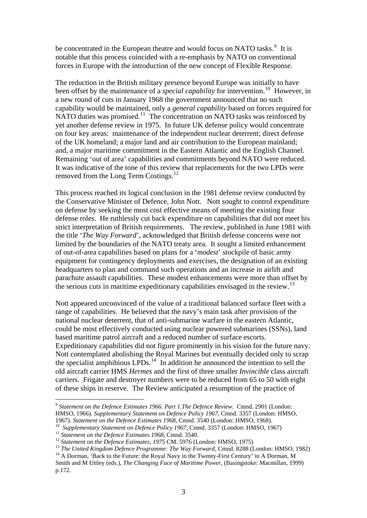be concentrated in the European theatre and would focus on NATO tasks.<sup>[9](#page-2-0)</sup> It is notable that this process coincided with a re-emphasis by NATO on conventional forces in Europe with the introduction of the new concept of Flexible Response.

The reduction in the British military presence beyond Europe was initially to have been offset by the maintenance of a *special capability* for intervention.<sup>[10](#page-2-1)</sup> However, in a new round of cuts in January 1968 the government announced that no such capability would be maintained, only a *general capability* based on forces required for NATO duties was promised.<sup>[11](#page-2-2)</sup> The concentration on NATO tasks was reinforced by yet another defense review in 1975. In future UK defense policy would concentrate on four key areas: maintenance of the independent nuclear deterrent; direct defense of the UK homeland; a major land and air contribution to the European mainland; and, a major maritime commitment in the Eastern Atlantic and the English Channel. Remaining 'out of area' capabilities and commitments beyond NATO were reduced. It was indicative of the tone of this review that replacements for the two LPDs were removed from the Long Term Costings.<sup>[12](#page-2-3)</sup>

This process reached its logical conclusion in the 1981 defense review conducted by the Conservative Minister of Defence, John Nott. Nott sought to control expenditure on defense by seeking the most cost effective means of meeting the existing four defense roles. He ruthlessly cut back expenditure on capabilities that did not meet his strict interpretation of British requirements. The review, published in June 1981 with the title '*The Way Forward*', acknowledged that British defense concerns were not limited by the boundaries of the NATO treaty area. It sought a limited enhancement of out-of-area capabilities based on plans for a '*modest*' stockpile of basic army equipment for contingency deployments and exercises, the designation of an existing headquarters to plan and command such operations and an increase in airlift and parachute assault capabilities. These modest enhancements were more than offset by the serious cuts in maritime expeditionary capabilities envisaged in the review.<sup>[13](#page-2-4)</sup>

Nott appeared unconvinced of the value of a traditional balanced surface fleet with a range of capabilities. He believed that the navy's main task after provision of the national nuclear deterrent, that of anti-submarine warfare in the eastern Atlantic, could be most effectively conducted using nuclear powered submarines (SSNs), land based maritime patrol aircraft and a reduced number of surface escorts. Expeditionary capabilities did not figure prominently in his vision for the future navy. Nott contemplated abolishing the Royal Marines but eventually decided only to scrap the specialist amphibious  $LPDs$ <sup>[14](#page-2-5)</sup>. In addition he announced the intention to sell the old aircraft carrier HMS *Hermes* and the first of three smaller *Invincible* class aircraft carriers. Frigate and destroyer numbers were to be reduced from 65 to 50 with eight of these ships in reserve. The Review anticipated a resumption of the practice of

<span id="page-2-0"></span><sup>9</sup> *Statement on the Defence Estimates 1966. Part 1.The Defence Review*. Cmnd. 2901 (London: HMSO, 1966). *Supplementary Statement on Defence Policy 1967*, Cmnd. 3357 (London: HMSO,

<span id="page-2-3"></span>

<span id="page-2-2"></span><span id="page-2-1"></span><sup>&</sup>lt;sup>10</sup> Supplementary Statement on Defence Policy 1967, Cmnd. 3357 (London: HMSO, 1967)<br><sup>11</sup> Statement on the Defence Estimates 1968, Cmnd. 3540.<br><sup>12</sup> Statement on the Defence Estimates, 1975 CM. 5976 (London: HMSO, 1975)<br><sup>1</sup>

<span id="page-2-5"></span><span id="page-2-4"></span>Smith and M Uttley (eds.), *The Changing Face of Maritime Power*, (Basingstoke: Macmillan, 1999) p.172.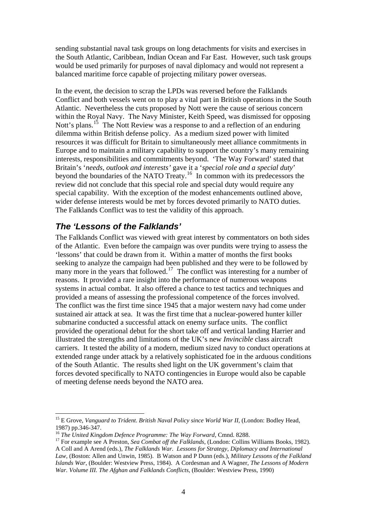sending substantial naval task groups on long detachments for visits and exercises in the South Atlantic, Caribbean, Indian Ocean and Far East. However, such task groups would be used primarily for purposes of naval diplomacy and would not represent a balanced maritime force capable of projecting military power overseas.

In the event, the decision to scrap the LPDs was reversed before the Falklands Conflict and both vessels went on to play a vital part in British operations in the South Atlantic. Nevertheless the cuts proposed by Nott were the cause of serious concern within the Royal Navy. The Navy Minister, Keith Speed, was dismissed for opposing Nott's plans.<sup>[15](#page-3-0)</sup> The Nott Review was a response to and a reflection of an enduring dilemma within British defense policy. As a medium sized power with limited resources it was difficult for Britain to simultaneously meet alliance commitments in Europe and to maintain a military capability to support the country's many remaining interests, responsibilities and commitments beyond. 'The Way Forward' stated that Britain's '*needs, outlook and interests'* gave it a '*special role and a special duty*' beyond the boundaries of the NATO Treaty.[16](#page-3-1) In common with its predecessors the review did not conclude that this special role and special duty would require any special capability. With the exception of the modest enhancements outlined above, wider defense interests would be met by forces devoted primarily to NATO duties. The Falklands Conflict was to test the validity of this approach.

## *The 'Lessons of the Falklands'*

The Falklands Conflict was viewed with great interest by commentators on both sides of the Atlantic. Even before the campaign was over pundits were trying to assess the 'lessons' that could be drawn from it. Within a matter of months the first books seeking to analyze the campaign had been published and they were to be followed by many more in the years that followed.<sup>[17](#page-3-2)</sup> The conflict was interesting for a number of reasons. It provided a rare insight into the performance of numerous weapons systems in actual combat. It also offered a chance to test tactics and techniques and provided a means of assessing the professional competence of the forces involved. The conflict was the first time since 1945 that a major western navy had come under sustained air attack at sea. It was the first time that a nuclear-powered hunter killer submarine conducted a successful attack on enemy surface units. The conflict provided the operational debut for the short take off and vertical landing Harrier and illustrated the strengths and limitations of the UK's new *Invincible* class aircraft carriers. It tested the ability of a modern, medium sized navy to conduct operations at extended range under attack by a relatively sophisticated foe in the arduous conditions of the South Atlantic. The results shed light on the UK government's claim that forces devoted specifically to NATO contingencies in Europe would also be capable of meeting defense needs beyond the NATO area.

<span id="page-3-0"></span><sup>&</sup>lt;u>.</u> 15 E Grove, *Vanguard to Trident*. *British Naval Policy since World War II*, (London: Bodley Head, 1987) pp.346-347.<br><sup>16</sup> The United Kingdom Defence Programme: The Way Forward, Cmnd. 8288.

<span id="page-3-2"></span><span id="page-3-1"></span><sup>&</sup>lt;sup>17</sup> For example see A Preston, *Sea Combat off the Falklands*, (London: Collins Williams Books, 1982). A Coll and A Arend (eds.), *The Falklands War. Lessons for Strategy, Diplomacy and International Law*, (Boston: Allen and Unwin, 1985). B Watson and P Dunn (eds.), *Military Lessons of the Falkland Islands War*, (Boulder: Westview Press, 1984). A Cordesman and A Wagner, *The Lessons of Modern War. Volume III. The Afghan and Falklands Conflicts*, (Boulder: Westview Press, 1990)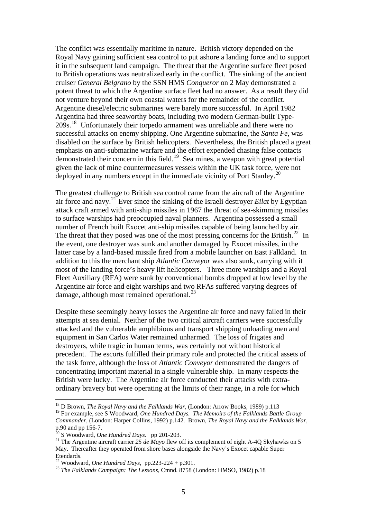The conflict was essentially maritime in nature. British victory depended on the Royal Navy gaining sufficient sea control to put ashore a landing force and to support it in the subsequent land campaign. The threat that the Argentine surface fleet posed to British operations was neutralized early in the conflict. The sinking of the ancient cruiser *General Belgrano* by the SSN HMS *Conqueror* on 2 May demonstrated a potent threat to which the Argentine surface fleet had no answer. As a result they did not venture beyond their own coastal waters for the remainder of the conflict. Argentine diesel/electric submarines were barely more successful. In April 1982 Argentina had three seaworthy boats, including two modern German-built Type-209s.[18](#page-4-0) Unfortunately their torpedo armament was unreliable and there were no successful attacks on enemy shipping. One Argentine submarine, the *Santa Fe*, was disabled on the surface by British helicopters. Nevertheless, the British placed a great emphasis on anti-submarine warfare and the effort expended chasing false contacts demonstrated their concern in this field.<sup>[19](#page-4-1)</sup> Sea mines, a weapon with great potential given the lack of mine countermeasures vessels within the UK task force, were not deployed in any numbers except in the immediate vicinity of Port Stanley.<sup>[20](#page-4-2)</sup>

The greatest challenge to British sea control came from the aircraft of the Argentine air force and navy.[21](#page-4-3) Ever since the sinking of the Israeli destroyer *Eilat* by Egyptian attack craft armed with anti-ship missiles in 1967 the threat of sea-skimming missiles to surface warships had preoccupied naval planners. Argentina possessed a small number of French built Exocet anti-ship missiles capable of being launched by air. The threat that they posed was one of the most pressing concerns for the British.<sup>[22](#page-4-4)</sup> In the event, one destroyer was sunk and another damaged by Exocet missiles, in the latter case by a land-based missile fired from a mobile launcher on East Falkland. In addition to this the merchant ship *Atlantic Conveyor* was also sunk, carrying with it most of the landing force's heavy lift helicopters. Three more warships and a Royal Fleet Auxiliary (RFA) were sunk by conventional bombs dropped at low level by the Argentine air force and eight warships and two RFAs suffered varying degrees of damage, although most remained operational.<sup>[23](#page-4-5)</sup>

Despite these seemingly heavy losses the Argentine air force and navy failed in their attempts at sea denial. Neither of the two critical aircraft carriers were successfully attacked and the vulnerable amphibious and transport shipping unloading men and equipment in San Carlos Water remained unharmed. The loss of frigates and destroyers, while tragic in human terms, was certainly not without historical precedent. The escorts fulfilled their primary role and protected the critical assets of the task force, although the loss of *Atlantic Conveyor* demonstrated the dangers of concentrating important material in a single vulnerable ship. In many respects the British were lucky. The Argentine air force conducted their attacks with extraordinary bravery but were operating at the limits of their range, in a role for which

<sup>18</sup> D Brown, *The Royal Navy and the Falklands War*, (London: Arrow Books, 1989) p.113

<span id="page-4-1"></span><span id="page-4-0"></span><sup>19</sup> For example, see S Woodward, *One Hundred Days. The Memoirs of the Falklands Battle Group Commander,* (London: Harper Collins, 1992) p.142. Brown, *The Royal Navy and the Falklands War*, p.90 and pp 156-7.<br> $^{20}$  S Woodward, *One Hundred Days*. pp 201-203.

<span id="page-4-3"></span><span id="page-4-2"></span><sup>&</sup>lt;sup>21</sup> The Argentine aircraft carrier  $25$  de Mayo flew off its complement of eight A-4Q Skyhawks on 5 May. Thereafter they operated from shore bases alongside the Navy's Exocet capable Super Etendards.<br><sup>22</sup> Woodward. *One Hundred Days*, pp.223-224 + p.301.

<span id="page-4-5"></span><span id="page-4-4"></span><sup>&</sup>lt;sup>23</sup> The Falklands Campaign: The Lessons, Cmnd. 8758 (London: HMSO, 1982) p.18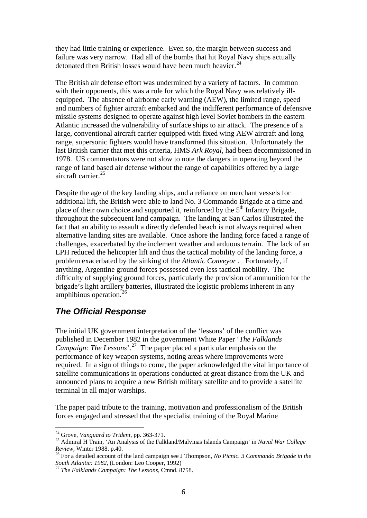they had little training or experience. Even so, the margin between success and failure was very narrow. Had all of the bombs that hit Royal Navy ships actually detonated then British losses would have been much heavier. $^{24}$  $^{24}$  $^{24}$ 

The British air defense effort was undermined by a variety of factors. In common with their opponents, this was a role for which the Royal Navy was relatively illequipped. The absence of airborne early warning (AEW), the limited range, speed and numbers of fighter aircraft embarked and the indifferent performance of defensive missile systems designed to operate against high level Soviet bombers in the eastern Atlantic increased the vulnerability of surface ships to air attack. The presence of a large, conventional aircraft carrier equipped with fixed wing AEW aircraft and long range, supersonic fighters would have transformed this situation. Unfortunately the last British carrier that met this criteria, HMS *Ark Royal,* had been decommissioned in 1978. US commentators were not slow to note the dangers in operating beyond the range of land based air defense without the range of capabilities offered by a large aircraft carrier.<sup>[25](#page-5-1)</sup>

Despite the age of the key landing ships, and a reliance on merchant vessels for additional lift, the British were able to land No. 3 Commando Brigade at a time and place of their own choice and supported it, reinforced by the  $5<sup>th</sup>$  Infantry Brigade, throughout the subsequent land campaign. The landing at San Carlos illustrated the fact that an ability to assault a directly defended beach is not always required when alternative landing sites are available. Once ashore the landing force faced a range of challenges, exacerbated by the inclement weather and arduous terrain. The lack of an LPH reduced the helicopter lift and thus the tactical mobility of the landing force, a problem exacerbated by the sinking of the *Atlantic Conveyor* . Fortunately, if anything, Argentine ground forces possessed even less tactical mobility. The difficulty of supplying ground forces, particularly the provision of ammunition for the brigade's light artillery batteries, illustrated the logistic problems inherent in any amphibious operation.[26](#page-5-2)

### *The Official Response*

The initial UK government interpretation of the 'lessons' of the conflict was published in December 1982 in the government White Paper '*The Falklands Campaign: The Lessons*'.[27](#page-5-3) The paper placed a particular emphasis on the performance of key weapon systems, noting areas where improvements were required. In a sign of things to come, the paper acknowledged the vital importance of satellite communications in operations conducted at great distance from the UK and announced plans to acquire a new British military satellite and to provide a satellite terminal in all major warships.

The paper paid tribute to the training, motivation and professionalism of the British forces engaged and stressed that the specialist training of the Royal Marine

<span id="page-5-0"></span><sup>&</sup>lt;sup>24</sup> Grove, Vanguard to Trident, pp. 363-371.

<span id="page-5-1"></span><sup>&</sup>lt;sup>25</sup> Admiral H Train, 'An Analysis of the Falkland/Malvinas Islands Campaign' in *Naval War College Review*, Winter 1988. p.40.<br><sup>26</sup> For a detailed account of the land campaign see J Thompson, *No Picnic. 3 Commando Brigade in the* 

<span id="page-5-2"></span>*South Atlantic: 1982*, (London: Leo Cooper, 1992) 27 *The Falklands Campaign: The Lessons*, Cmnd. 8758.

<span id="page-5-3"></span>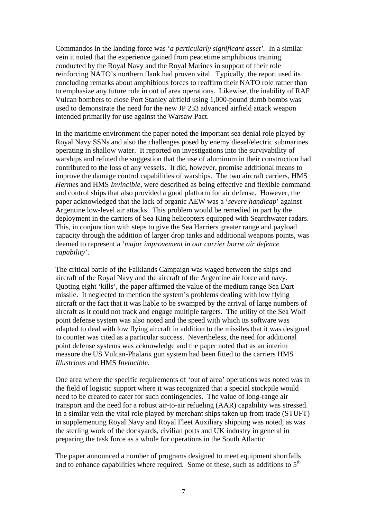Commandos in the landing force was '*a particularly significant asset'.* In a similar vein it noted that the experience gained from peacetime amphibious training conducted by the Royal Navy and the Royal Marines in support of their role reinforcing NATO's northern flank had proven vital. Typically, the report used its concluding remarks about amphibious forces to reaffirm their NATO role rather than to emphasize any future role in out of area operations. Likewise, the inability of RAF Vulcan bombers to close Port Stanley airfield using 1,000-pound dumb bombs was used to demonstrate the need for the new JP 233 advanced airfield attack weapon intended primarily for use against the Warsaw Pact.

In the maritime environment the paper noted the important sea denial role played by Royal Navy SSNs and also the challenges posed by enemy diesel/electric submarines operating in shallow water. It reported on investigations into the survivability of warships and refuted the suggestion that the use of aluminum in their construction had contributed to the loss of any vessels. It did, however, promise additional means to improve the damage control capabilities of warships. The two aircraft carriers, HMS *Hermes* and HMS *Invincible,* were described as being effective and flexible command and control ships that also provided a good platform for air defense. However, the paper acknowledged that the lack of organic AEW was a '*severe handicap*' against Argentine low-level air attacks. This problem would be remedied in part by the deployment in the carriers of Sea King helicopters equipped with Searchwater radars. This, in conjunction with steps to give the Sea Harriers greater range and payload capacity through the addition of larger drop tanks and additional weapons points, was deemed to represent a '*major improvement in our carrier borne air defence capability*'.

The critical battle of the Falklands Campaign was waged between the ships and aircraft of the Royal Navy and the aircraft of the Argentine air force and navy. Quoting eight 'kills', the paper affirmed the value of the medium range Sea Dart missile. It neglected to mention the system's problems dealing with low flying aircraft or the fact that it was liable to be swamped by the arrival of large numbers of aircraft as it could not track and engage multiple targets. The utility of the Sea Wolf point defense system was also noted and the speed with which its software was adapted to deal with low flying aircraft in addition to the missiles that it was designed to counter was cited as a particular success. Nevertheless, the need for additional point defense systems was acknowledge and the paper noted that as an interim measure the US Vulcan-Phalanx gun system had been fitted to the carriers HMS *Illustrious* and HMS *Invincible*.

One area where the specific requirements of 'out of area' operations was noted was in the field of logistic support where it was recognized that a special stockpile would need to be created to cater for such contingencies. The value of long-range air transport and the need for a robust air-to-air refueling (AAR) capability was stressed. In a similar vein the vital role played by merchant ships taken up from trade (STUFT) in supplementing Royal Navy and Royal Fleet Auxiliary shipping was noted, as was the sterling work of the dockyards, civilian ports and UK industry in general in preparing the task force as a whole for operations in the South Atlantic.

The paper announced a number of programs designed to meet equipment shortfalls and to enhance capabilities where required. Some of these, such as additions to  $5<sup>th</sup>$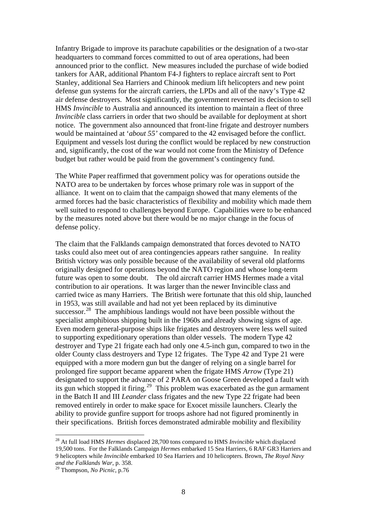Infantry Brigade to improve its parachute capabilities or the designation of a two-star headquarters to command forces committed to out of area operations, had been announced prior to the conflict. New measures included the purchase of wide bodied tankers for AAR, additional Phantom F4-J fighters to replace aircraft sent to Port Stanley, additional Sea Harriers and Chinook medium lift helicopters and new point defense gun systems for the aircraft carriers, the LPDs and all of the navy's Type 42 air defense destroyers. Most significantly, the government reversed its decision to sell HMS *Invincible* to Australia and announced its intention to maintain a fleet of three *Invincible* class carriers in order that two should be available for deployment at short notice. The government also announced that front-line frigate and destroyer numbers would be maintained at '*about 55'* compared to the 42 envisaged before the conflict. Equipment and vessels lost during the conflict would be replaced by new construction and, significantly, the cost of the war would not come from the Ministry of Defence budget but rather would be paid from the government's contingency fund.

The White Paper reaffirmed that government policy was for operations outside the NATO area to be undertaken by forces whose primary role was in support of the alliance. It went on to claim that the campaign showed that many elements of the armed forces had the basic characteristics of flexibility and mobility which made them well suited to respond to challenges beyond Europe. Capabilities were to be enhanced by the measures noted above but there would be no major change in the focus of defense policy.

The claim that the Falklands campaign demonstrated that forces devoted to NATO tasks could also meet out of area contingencies appears rather sanguine. In reality British victory was only possible because of the availability of several old platforms originally designed for operations beyond the NATO region and whose long-term future was open to some doubt. The old aircraft carrier HMS Hermes made a vital contribution to air operations. It was larger than the newer Invincible class and carried twice as many Harriers. The British were fortunate that this old ship, launched in 1953, was still available and had not yet been replaced by its diminutive successor.<sup>[28](#page-7-0)</sup> The amphibious landings would not have been possible without the specialist amphibious shipping built in the 1960s and already showing signs of age. Even modern general-purpose ships like frigates and destroyers were less well suited to supporting expeditionary operations than older vessels. The modern Type 42 destroyer and Type 21 frigate each had only one 4.5-inch gun, compared to two in the older County class destroyers and Type 12 frigates. The Type 42 and Type 21 were equipped with a more modern gun but the danger of relying on a single barrel for prolonged fire support became apparent when the frigate HMS *Arrow* (Type 21) designated to support the advance of 2 PARA on Goose Green developed a fault with its gun which stopped it firing.[29](#page-7-1) This problem was exacerbated as the gun armament in the Batch II and III *Leander* class frigates and the new Type 22 frigate had been removed entirely in order to make space for Exocet missile launchers. Clearly the ability to provide gunfire support for troops ashore had not figured prominently in their specifications. British forces demonstrated admirable mobility and flexibility

<span id="page-7-0"></span><sup>28</sup> At full load HMS *Hermes* displaced 28,700 tons compared to HMS *Invincible* which displaced 19,500 tons. For the Falklands Campaign *Hermes* embarked 15 Sea Harriers, 6 RAF GR3 Harriers and 9 helicopters while *Invincible* embarked 10 Sea Harriers and 10 helicopters. Brown, *The Royal Navy and the Falklands War*, p. 358.

<span id="page-7-1"></span><sup>29</sup> Thompson, *No Picnic*, p.76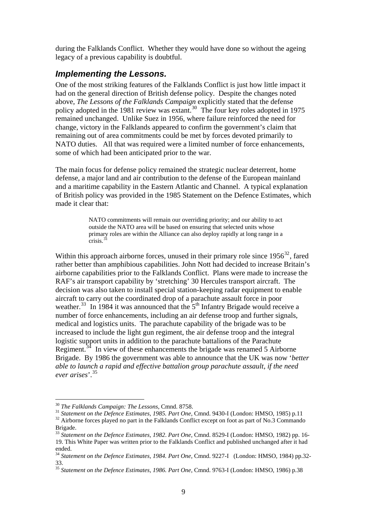during the Falklands Conflict. Whether they would have done so without the ageing legacy of a previous capability is doubtful.

#### *Implementing the Lessons.*

One of the most striking features of the Falklands Conflict is just how little impact it had on the general direction of British defense policy. Despite the changes noted above, *The Lessons of the Falklands Campaign* explicitly stated that the defense policy adopted in the 1981 review was extant.<sup>[30](#page-8-0)</sup> The four key roles adopted in 1975 remained unchanged. Unlike Suez in 1956, where failure reinforced the need for change, victory in the Falklands appeared to confirm the government's claim that remaining out of area commitments could be met by forces devoted primarily to NATO duties. All that was required were a limited number of force enhancements, some of which had been anticipated prior to the war.

The main focus for defense policy remained the strategic nuclear deterrent, home defense, a major land and air contribution to the defense of the European mainland and a maritime capability in the Eastern Atlantic and Channel. A typical explanation of British policy was provided in the 1985 Statement on the Defence Estimates, which made it clear that:

> NATO commitments will remain our overriding priority; and our ability to act outside the NATO area will be based on ensuring that selected units whose primary roles are within the Alliance can also deploy rapidly at long range in a  $\text{crisis.}^{31}$  $\text{crisis.}^{31}$  $\text{crisis.}^{31}$

Within this approach airborne forces, unused in their primary role since  $1956^{32}$  $1956^{32}$  $1956^{32}$ , fared rather better than amphibious capabilities. John Nott had decided to increase Britain's airborne capabilities prior to the Falklands Conflict. Plans were made to increase the RAF's air transport capability by 'stretching' 30 Hercules transport aircraft. The decision was also taken to install special station-keeping radar equipment to enable aircraft to carry out the coordinated drop of a parachute assault force in poor weather.<sup>[33](#page-8-3)</sup> In 1984 it was announced that the  $5<sup>th</sup>$  Infantry Brigade would receive a number of force enhancements, including an air defense troop and further signals, medical and logistics units. The parachute capability of the brigade was to be increased to include the light gun regiment, the air defense troop and the integral logistic support units in addition to the parachute battalions of the Parachute Regiment.<sup>[34](#page-8-4)</sup> In view of these enhancements the brigade was renamed 5 Airborne Brigade. By 1986 the government was able to announce that the UK was now '*better able to launch a rapid and effective battalion group parachute assault, if the need ever arises*'.[35](#page-8-5)

<span id="page-8-1"></span><span id="page-8-0"></span><sup>&</sup>lt;sup>30</sup> The Falklands Campaign: The Lessons, Cmnd. 8758.<br><sup>31</sup> Statement on the Defence Estimates, 1985. Part One, Cmnd. 9430-I (London: HMSO, 1985) p.11<sup>32</sup> Airborne forces played no part in the Falklands Conflict except on

<span id="page-8-2"></span>Brigade.

<span id="page-8-3"></span><sup>33</sup> *Statement on the Defence Estimates, 1982*. *Part One*, Cmnd. 8529-I (London: HMSO, 1982) pp. 16- 19. This White Paper was written prior to the Falklands Conflict and published unchanged after it had ended.

<span id="page-8-4"></span><sup>&</sup>lt;sup>34</sup> Statement on the Defence Estimates, 1984. Part One, Cmnd. 9227-I (London: HMSO, 1984) pp.32-33.

<span id="page-8-5"></span><sup>35</sup> *Statement on the Defence Estimates, 1986. Part One*, Cmnd. 9763-I (London: HMSO, 1986) p.38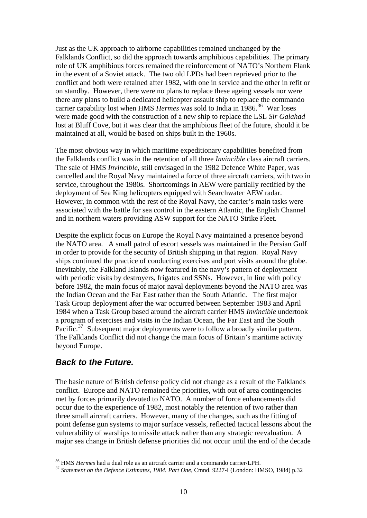Just as the UK approach to airborne capabilities remained unchanged by the Falklands Conflict, so did the approach towards amphibious capabilities. The primary role of UK amphibious forces remained the reinforcement of NATO's Northern Flank in the event of a Soviet attack. The two old LPDs had been reprieved prior to the conflict and both were retained after 1982, with one in service and the other in refit or on standby. However, there were no plans to replace these ageing vessels nor were there any plans to build a dedicated helicopter assault ship to replace the commando carrier capability lost when HMS *Hermes* was sold to India in 1986.<sup>[36](#page-9-0)</sup> War loses were made good with the construction of a new ship to replace the LSL *Sir Galahad* lost at Bluff Cove, but it was clear that the amphibious fleet of the future, should it be maintained at all, would be based on ships built in the 1960s.

The most obvious way in which maritime expeditionary capabilities benefited from the Falklands conflict was in the retention of all three *Invincible* class aircraft carriers. The sale of HMS *Invincible*, still envisaged in the 1982 Defence White Paper, was cancelled and the Royal Navy maintained a force of three aircraft carriers, with two in service, throughout the 1980s. Shortcomings in AEW were partially rectified by the deployment of Sea King helicopters equipped with Searchwater AEW radar. However, in common with the rest of the Royal Navy, the carrier's main tasks were associated with the battle for sea control in the eastern Atlantic, the English Channel and in northern waters providing ASW support for the NATO Strike Fleet.

Despite the explicit focus on Europe the Royal Navy maintained a presence beyond the NATO area. A small patrol of escort vessels was maintained in the Persian Gulf in order to provide for the security of British shipping in that region. Royal Navy ships continued the practice of conducting exercises and port visits around the globe. Inevitably, the Falkland Islands now featured in the navy's pattern of deployment with periodic visits by destroyers, frigates and SSNs. However, in line with policy before 1982, the main focus of major naval deployments beyond the NATO area was the Indian Ocean and the Far East rather than the South Atlantic. The first major Task Group deployment after the war occurred between September 1983 and April 1984 when a Task Group based around the aircraft carrier HMS *Invincible* undertook a program of exercises and visits in the Indian Ocean, the Far East and the South Pacific.<sup>[37](#page-9-1)</sup> Subsequent major deployments were to follow a broadly similar pattern. The Falklands Conflict did not change the main focus of Britain's maritime activity beyond Europe.

#### *Back to the Future.*

The basic nature of British defense policy did not change as a result of the Falklands conflict. Europe and NATO remained the priorities, with out of area contingencies met by forces primarily devoted to NATO. A number of force enhancements did occur due to the experience of 1982, most notably the retention of two rather than three small aircraft carriers. However, many of the changes, such as the fitting of point defense gun systems to major surface vessels, reflected tactical lessons about the vulnerability of warships to missile attack rather than any strategic reevaluation. A major sea change in British defense priorities did not occur until the end of the decade

<sup>&</sup>lt;u>.</u>

<span id="page-9-1"></span><span id="page-9-0"></span><sup>&</sup>lt;sup>36</sup> HMS *Hermes* had a dual role as an aircraft carrier and a commando carrier/LPH.<br><sup>37</sup> *Statement on the Defence Estimates, 1984. Part One*, Cmnd. 9227-I (London: HMSO, 1984) p.32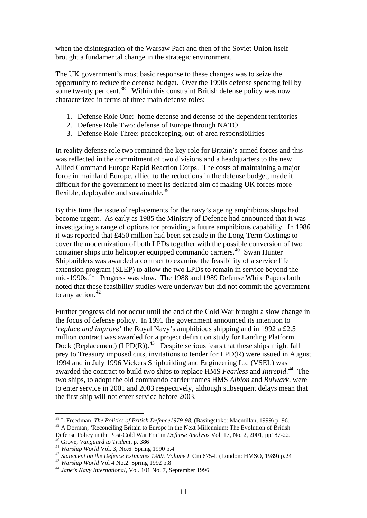when the disintegration of the Warsaw Pact and then of the Soviet Union itself brought a fundamental change in the strategic environment.

The UK government's most basic response to these changes was to seize the opportunity to reduce the defense budget. Over the 1990s defense spending fell by some twenty per cent.<sup>[38](#page-10-0)</sup> Within this constraint British defense policy was now characterized in terms of three main defense roles:

- 1. Defense Role One: home defense and defense of the dependent territories
- 2. Defense Role Two: defense of Europe through NATO
- 3. Defense Role Three: peacekeeping, out-of-area responsibilities

In reality defense role two remained the key role for Britain's armed forces and this was reflected in the commitment of two divisions and a headquarters to the new Allied Command Europe Rapid Reaction Corps. The costs of maintaining a major force in mainland Europe, allied to the reductions in the defense budget, made it difficult for the government to meet its declared aim of making UK forces more flexible, deployable and sustainable.<sup>[39](#page-10-1)</sup>

By this time the issue of replacements for the navy's ageing amphibious ships had become urgent. As early as 1985 the Ministry of Defence had announced that it was investigating a range of options for providing a future amphibious capability. In 1986 it was reported that £450 million had been set aside in the Long-Term Costings to cover the modernization of both LPDs together with the possible conversion of two container ships into helicopter equipped commando carriers.<sup>[40](#page-10-2)</sup> Swan Hunter Shipbuilders was awarded a contract to examine the feasibility of a service life extension program (SLEP) to allow the two LPDs to remain in service beyond the mid-1990s.<sup>[41](#page-10-3)</sup> Progress was slow. The 1988 and 1989 Defense White Papers both noted that these feasibility studies were underway but did not commit the government to any action. $42$ 

Further progress did not occur until the end of the Cold War brought a slow change in the focus of defense policy. In 1991 the government announced its intention to '*replace and improve*' the Royal Navy's amphibious shipping and in 1992 a £2.5 million contract was awarded for a project definition study for Landing Platform Dock (Replacement) (LPD(R)).<sup>[43](#page-10-5)</sup> Despite serious fears that these ships might fall prey to Treasury imposed cuts, invitations to tender for LPD(R) were issued in August 1994 and in July 1996 Vickers Shipbuilding and Engineering Ltd (VSEL) was awarded the contract to build two ships to replace HMS *Fearless* and *Intrepid*. [44](#page-10-6) The two ships, to adopt the old commando carrier names HMS *Albion* and *Bulwark,* were to enter service in 2001 and 2003 respectively, although subsequent delays mean that the first ship will not enter service before 2003.

<sup>38</sup> L Freedman, *The Politics of British Defence1979-98*, (Basingstoke: Macmillan, 1999) p. 96.

<span id="page-10-1"></span><span id="page-10-0"></span> $39$  A Dorman, 'Reconciling Britain to Europe in the Next Millennium: The Evolution of British Defense Policy in the Post-Cold War Era' in *Defense Analysis* Vol. 17, No. 2, 2001, pp187-22. <sup>40</sup> Grove, *Vanguard to Trident*, p. 386<br>
<sup>41</sup> Warship World Vol. 3, No.6 Spring 1990 p.4<br>
<sup>42</sup> Statement on the Defence Estimates 1989. Volume I. Cm 675-I. (London: HMSO, 1989) p.24<br>
<sup>43</sup> Warship World Vol 4 No.2. Sprin

<span id="page-10-3"></span><span id="page-10-2"></span>

<span id="page-10-4"></span>

<span id="page-10-6"></span><span id="page-10-5"></span>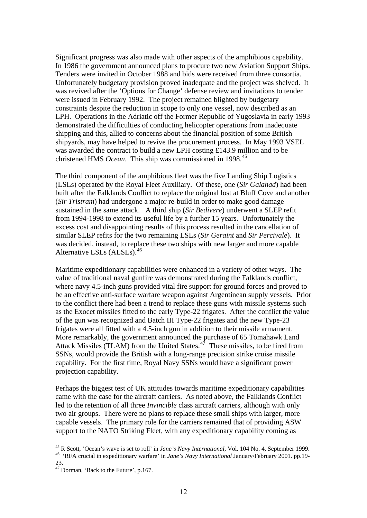Significant progress was also made with other aspects of the amphibious capability. In 1986 the government announced plans to procure two new Aviation Support Ships. Tenders were invited in October 1988 and bids were received from three consortia. Unfortunately budgetary provision proved inadequate and the project was shelved. It was revived after the 'Options for Change' defense review and invitations to tender were issued in February 1992. The project remained blighted by budgetary constraints despite the reduction in scope to only one vessel, now described as an LPH. Operations in the Adriatic off the Former Republic of Yugoslavia in early 1993 demonstrated the difficulties of conducting helicopter operations from inadequate shipping and this, allied to concerns about the financial position of some British shipyards, may have helped to revive the procurement process. In May 1993 VSEL was awarded the contract to build a new LPH costing £143.9 million and to be christened HMS *Ocean*. This ship was commissioned in 1998.<sup>[45](#page-11-0)</sup>

The third component of the amphibious fleet was the five Landing Ship Logistics (LSLs) operated by the Royal Fleet Auxiliary. Of these, one (*Sir Galahad*) had been built after the Falklands Conflict to replace the original lost at Bluff Cove and another (*Sir Tristram*) had undergone a major re-build in order to make good damage sustained in the same attack. A third ship (*Sir Bedivere*) underwent a SLEP refit from 1994-1998 to extend its useful life by a further 15 years. Unfortunately the excess cost and disappointing results of this process resulted in the cancellation of similar SLEP refits for the two remaining LSLs (*Sir Geraint* and *Sir Percivale*). It was decided, instead, to replace these two ships with new larger and more capable Alternative LSLs (ALSLs).<sup>[46](#page-11-1)</sup>

Maritime expeditionary capabilities were enhanced in a variety of other ways. The value of traditional naval gunfire was demonstrated during the Falklands conflict, where navy 4.5-inch guns provided vital fire support for ground forces and proved to be an effective anti-surface warfare weapon against Argentinean supply vessels. Prior to the conflict there had been a trend to replace these guns with missile systems such as the Exocet missiles fitted to the early Type-22 frigates. After the conflict the value of the gun was recognized and Batch III Type-22 frigates and the new Type-23 frigates were all fitted with a 4.5-inch gun in addition to their missile armament. More remarkably, the government announced the purchase of 65 Tomahawk Land Attack Missiles (TLAM) from the United States. $4^{\frac{4}{7}}$  These missiles, to be fired from SSNs, would provide the British with a long-range precision strike cruise missile capability. For the first time, Royal Navy SSNs would have a significant power projection capability.

Perhaps the biggest test of UK attitudes towards maritime expeditionary capabilities came with the case for the aircraft carriers. As noted above, the Falklands Conflict led to the retention of all three *Invincible* class aircraft carriers, although with only two air groups. There were no plans to replace these small ships with larger, more capable vessels. The primary role for the carriers remained that of providing ASW support to the NATO Striking Fleet, with any expeditionary capability coming as

<span id="page-11-1"></span><span id="page-11-0"></span><sup>&</sup>lt;sup>45</sup> R Scott, 'Ocean's wave is set to roll' in *Jane's Navy International*, Vol. 104 No. 4, September 1999. <sup>46</sup> 'RFA crucial in expeditionary warfare' in *Jane's Navy International* January/February 2001. pp.19-23.

<span id="page-11-2"></span> $^{47}$  Dorman, 'Back to the Future', p.167.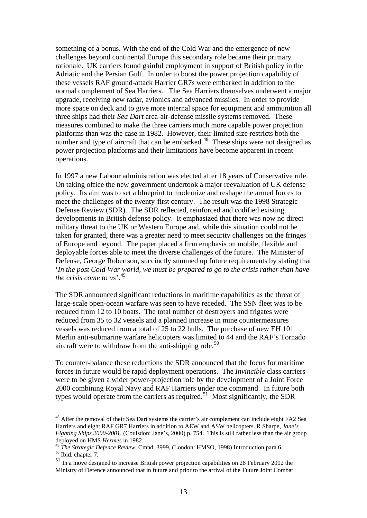something of a bonus. With the end of the Cold War and the emergence of new challenges beyond continental Europe this secondary role became their primary rationale. UK carriers found gainful employment in support of British policy in the Adriatic and the Persian Gulf. In order to boost the power projection capability of these vessels RAF ground-attack Harrier GR7s were embarked in addition to the normal complement of Sea Harriers. The Sea Harriers themselves underwent a major upgrade, receiving new radar, avionics and advanced missiles. In order to provide more space on deck and to give more internal space for equipment and ammunition all three ships had their *Sea Dart* area-air-defense missile systems removed. These measures combined to make the three carriers much more capable power projection platforms than was the case in 1982. However, their limited size restricts both the number and type of aircraft that can be embarked.<sup>[48](#page-12-0)</sup> These ships were not designed as power projection platforms and their limitations have become apparent in recent operations.

In 1997 a new Labour administration was elected after 18 years of Conservative rule. On taking office the new government undertook a major reevaluation of UK defense policy. Its aim was to set a blueprint to modernize and reshape the armed forces to meet the challenges of the twenty-first century. The result was the 1998 Strategic Defense Review (SDR). The SDR reflected, reinforced and codified existing developments in British defense policy. It emphasized that there was now no direct military threat to the UK or Western Europe and, while this situation could not be taken for granted, there was a greater need to meet security challenges on the fringes of Europe and beyond. The paper placed a firm emphasis on mobile, flexible and deployable forces able to meet the diverse challenges of the future. The Minister of Defense, George Robertson, succinctly summed up future requirements by stating that '*In the post Cold War world, we must be prepared to go to the crisis rather than have the crisis come to us'*. [49](#page-12-1)

The SDR announced significant reductions in maritime capabilities as the threat of large-scale open-ocean warfare was seen to have receded. The SSN fleet was to be reduced from 12 to 10 boats. The total number of destroyers and frigates were reduced from 35 to 32 vessels and a planned increase in mine countermeasures vessels was reduced from a total of 25 to 22 hulls. The purchase of new EH 101 Merlin anti-submarine warfare helicopters was limited to 44 and the RAF's Tornado aircraft were to withdraw from the anti-shipping role.<sup>[50](#page-12-2)</sup>

To counter-balance these reductions the SDR announced that the focus for maritime forces in future would be rapid deployment operations. The *Invincible* class carriers were to be given a wider power-projection role by the development of a Joint Force 2000 combining Royal Navy and RAF Harriers under one command. In future both types would operate from the carriers as required.<sup>[51](#page-12-3)</sup> Most significantly, the SDR

<span id="page-12-0"></span><sup>&</sup>lt;sup>48</sup> After the removal of their Sea Dart systems the carrier's air complement can include eight FA2 Sea Harriers and eight RAF GR7 Harriers in addition to AEW and ASW helicopters. R Sharpe, *Jane's Fighting Ships 2000-2001*, (Coulsdon: Jane's, 2000) p. 754. This is still rather less than the air group deployed on HMS *Hermes* in 1982.

<span id="page-12-1"></span><sup>&</sup>lt;sup>49</sup> *The Strategic Defence Review*, Cmnd. 3999, (London: HMSO, 1998) Introduction para.6.<sup>50</sup> Ibid. chanter 7.

<span id="page-12-3"></span><span id="page-12-2"></span><sup>&</sup>lt;sup>51</sup> In a move designed to increase British power projection capabilities on 28 February 2002 the Ministry of Defence announced that in future and prior to the arrival of the Future Joint Combat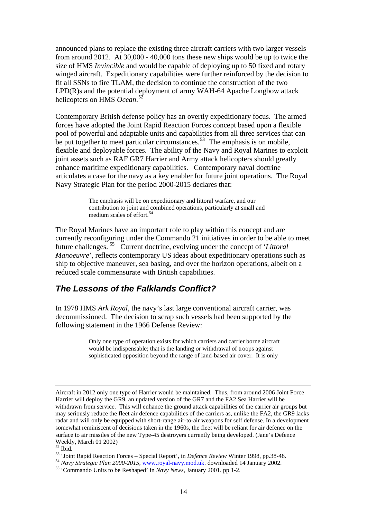announced plans to replace the existing three aircraft carriers with two larger vessels from around 2012. At 30,000 - 40,000 tons these new ships would be up to twice the size of HMS *Invincible* and would be capable of deploying up to 50 fixed and rotary winged aircraft. Expeditionary capabilities were further reinforced by the decision to fit all SSNs to fire TLAM, the decision to continue the construction of the two LPD(R)s and the potential deployment of army WAH-64 Apache Longbow attack helicopters on HMS *Ocean*. [52](#page-13-0)

Contemporary British defense policy has an overtly expeditionary focus. The armed forces have adopted the Joint Rapid Reaction Forces concept based upon a flexible pool of powerful and adaptable units and capabilities from all three services that can be put together to meet particular circumstances.<sup>[53](#page-13-1)</sup> The emphasis is on mobile, flexible and deployable forces. The ability of the Navy and Royal Marines to exploit joint assets such as RAF GR7 Harrier and Army attack helicopters should greatly enhance maritime expeditionary capabilities. Contemporary naval doctrine articulates a case for the navy as a key enabler for future joint operations. The Royal Navy Strategic Plan for the period 2000-2015 declares that:

> The emphasis will be on expeditionary and littoral warfare, and our contribution to joint and combined operations, particularly at small and medium scales of effort.<sup>5</sup>

The Royal Marines have an important role to play within this concept and are currently reconfiguring under the Commando 21 initiatives in order to be able to meet future challenges. [55](#page-13-3) Current doctrine, evolving under the concept of '*Littoral Manoeuvre*', reflects contemporary US ideas about expeditionary operations such as ship to objective maneuver, sea basing, and over the horizon operations, albeit on a reduced scale commensurate with British capabilities.

#### *The Lessons of the Falklands Conflict?*

In 1978 HMS *Ark Royal*, the navy's last large conventional aircraft carrier, was decommissioned. The decision to scrap such vessels had been supported by the following statement in the 1966 Defense Review:

> Only one type of operation exists for which carriers and carrier borne aircraft would be indispensable; that is the landing or withdrawal of troops against sophisticated opposition beyond the range of land-based air cover. It is only

Aircraft in 2012 only one type of Harrier would be maintained. Thus, from around 2006 Joint Force Harrier will deploy the GR9, an updated version of the GR7 and the FA2 Sea Harrier will be withdrawn from service. This will enhance the ground attack capabilities of the carrier air groups but may seriously reduce the fleet air defence capabilities of the carriers as, unlike the FA2, the GR9 lacks radar and will only be equipped with short-range air-to-air weapons for self defense. In a development somewhat reminiscent of decisions taken in the 1960s, the fleet will be reliant for air defence on the surface to air missiles of the new Type-45 destroyers currently being developed. (Jane's Defence Weekly, March 01 2002)

<span id="page-13-0"></span> $\frac{52}{52}$  Ibid.<br> $\frac{52}{53}$  'Joint Rapid Reaction Forces – Special Report', in *Defence Review* Winter 1998, pp.38-48.

<span id="page-13-2"></span><span id="page-13-1"></span><sup>&</sup>lt;sup>54</sup> Navy Strategic Plan 2000-2015, [www.royal-navy.mod.uk.](http://www.royal-navy.mod.uk/) downloaded 14 January 2002.<br><sup>55</sup> 'Commando Units to be Reshaped' in Navy News, January 2001. pp 1-2.

<span id="page-13-3"></span>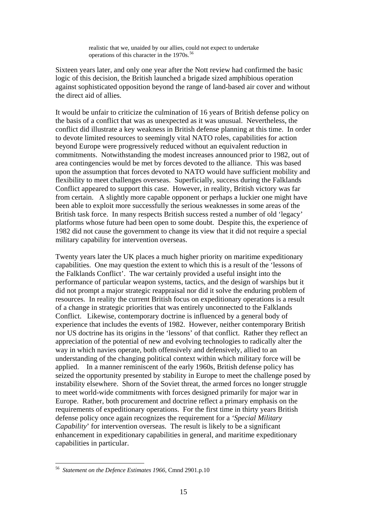realistic that we, unaided by our allies, could not expect to undertake operations of this character in the 1970s.<sup>[56](#page-14-0)</sup>

Sixteen years later, and only one year after the Nott review had confirmed the basic logic of this decision, the British launched a brigade sized amphibious operation against sophisticated opposition beyond the range of land-based air cover and without the direct aid of allies.

It would be unfair to criticize the culmination of 16 years of British defense policy on the basis of a conflict that was as unexpected as it was unusual. Nevertheless, the conflict did illustrate a key weakness in British defense planning at this time. In order to devote limited resources to seemingly vital NATO roles, capabilities for action beyond Europe were progressively reduced without an equivalent reduction in commitments. Notwithstanding the modest increases announced prior to 1982, out of area contingencies would be met by forces devoted to the alliance. This was based upon the assumption that forces devoted to NATO would have sufficient mobility and flexibility to meet challenges overseas. Superficially, success during the Falklands Conflict appeared to support this case. However, in reality, British victory was far from certain. A slightly more capable opponent or perhaps a luckier one might have been able to exploit more successfully the serious weaknesses in some areas of the British task force. In many respects British success rested a number of old 'legacy' platforms whose future had been open to some doubt. Despite this, the experience of 1982 did not cause the government to change its view that it did not require a special military capability for intervention overseas.

Twenty years later the UK places a much higher priority on maritime expeditionary capabilities. One may question the extent to which this is a result of the 'lessons of the Falklands Conflict'. The war certainly provided a useful insight into the performance of particular weapon systems, tactics, and the design of warships but it did not prompt a major strategic reappraisal nor did it solve the enduring problem of resources. In reality the current British focus on expeditionary operations is a result of a change in strategic priorities that was entirely unconnected to the Falklands Conflict. Likewise, contemporary doctrine is influenced by a general body of experience that includes the events of 1982. However, neither contemporary British nor US doctrine has its origins in the 'lessons' of that conflict. Rather they reflect an appreciation of the potential of new and evolving technologies to radically alter the way in which navies operate, both offensively and defensively, allied to an understanding of the changing political context within which military force will be applied. In a manner reminiscent of the early 1960s, British defense policy has seized the opportunity presented by stability in Europe to meet the challenge posed by instability elsewhere. Shorn of the Soviet threat, the armed forces no longer struggle to meet world-wide commitments with forces designed primarily for major war in Europe. Rather, both procurement and doctrine reflect a primary emphasis on the requirements of expeditionary operations. For the first time in thirty years British defense policy once again recognizes the requirement for a *'Special Military Capability*' for intervention overseas. The result is likely to be a significant enhancement in expeditionary capabilities in general, and maritime expeditionary capabilities in particular.

<span id="page-14-0"></span><sup>56</sup> *Statement on the Defence Estimates 1966*, Cmnd 2901.p.10